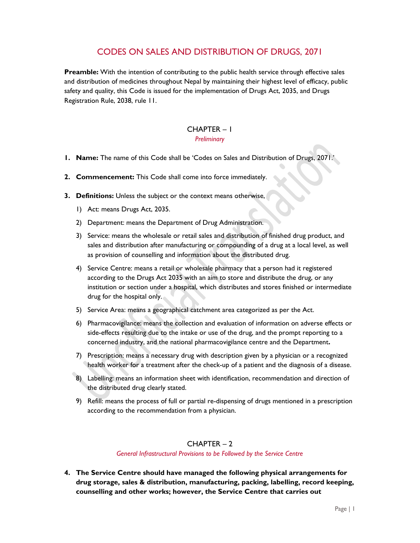# CODES ON SALES AND DISTRIBUTION OF DRUGS, 2071

**Preamble:** With the intention of contributing to the public health service through effective sales and distribution of medicines throughout Nepal by maintaining their highest level of efficacy, public safety and quality, this Code is issued for the implementation of Drugs Act, 2035, and Drugs Registration Rule, 2038, rule 11.

# CHAPTER – 1

#### *Preliminary*

- **1. Name:** The name of this Code shall be 'Codes on Sales and Distribution of Drugs, 2071.'
- **2. Commencement:** This Code shall come into force immediately.
- **3. Definitions:** Unless the subject or the context means otherwise,
	- 1) Act: means Drugs Act, 2035.
	- 2) Department: means the Department of Drug Administration.
	- 3) Service: means the wholesale or retail sales and distribution of finished drug product, and sales and distribution after manufacturing or compounding of a drug at a local level, as well as provision of counselling and information about the distributed drug.
	- 4) Service Centre: means a retail or wholesale pharmacy that a person had it registered according to the Drugs Act 2035 with an aim to store and distribute the drug, or any institution or section under a hospital, which distributes and stores finished or intermediate drug for the hospital only.
	- 5) Service Area: means a geographical catchment area categorized as per the Act.
	- 6) Pharmacovigilance: means the collection and evaluation of information on adverse effects or side-effects resulting due to the intake or use of the drug, and the prompt reporting to a concerned industry, and the national pharmacovigilance centre and the Department**.**
	- 7) Prescription: means a necessary drug with description given by a physician or a recognized health worker for a treatment after the check-up of a patient and the diagnosis of a disease.
	- 8) Labelling: means an information sheet with identification, recommendation and direction of the distributed drug clearly stated.
	- 9) Refill: means the process of full or partial re-dispensing of drugs mentioned in a prescription according to the recommendation from a physician.

#### CHAPTER – 2

#### *General Infrastructural Provisions to be Followed by the Service Centre*

**4. The Service Centre should have managed the following physical arrangements for drug storage, sales & distribution, manufacturing, packing, labelling, record keeping, counselling and other works; however, the Service Centre that carries out**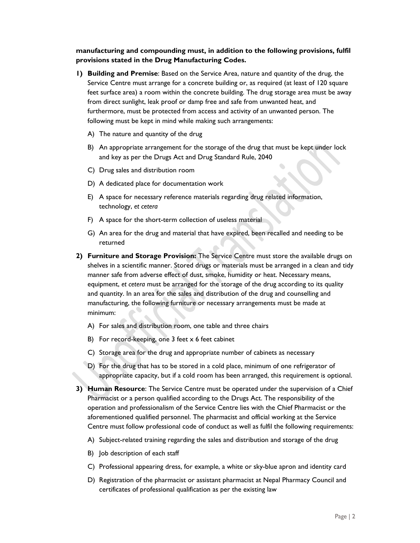**manufacturing and compounding must, in addition to the following provisions, fulfil provisions stated in the Drug Manufacturing Codes.** 

- **1) Building and Premise**: Based on the Service Area, nature and quantity of the drug, the Service Centre must arrange for a concrete building or, as required (at least of 120 square feet surface area) a room within the concrete building. The drug storage area must be away from direct sunlight, leak proof or damp free and safe from unwanted heat, and furthermore, must be protected from access and activity of an unwanted person. The following must be kept in mind while making such arrangements:
	- A) The nature and quantity of the drug
	- B) An appropriate arrangement for the storage of the drug that must be kept under lock and key as per the Drugs Act and Drug Standard Rule, 2040
	- C) Drug sales and distribution room
	- D) A dedicated place for documentation work
	- E) A space for necessary reference materials regarding drug related information, technology, *et cetera*
	- F) A space for the short-term collection of useless material
	- G) An area for the drug and material that have expired, been recalled and needing to be returned
- **2) Furniture and Storage Provision:** The Service Centre must store the available drugs on shelves in a scientific manner. Stored drugs or materials must be arranged in a clean and tidy manner safe from adverse effect of dust, smoke, humidity or heat. Necessary means, equipment, *et cetera* must be arranged for the storage of the drug according to its quality and quantity. In an area for the sales and distribution of the drug and counselling and manufacturing, the following furniture or necessary arrangements must be made at minimum:
	- A) For sales and distribution room, one table and three chairs
	- B) For record-keeping, one 3 feet x 6 feet cabinet
	- C) Storage area for the drug and appropriate number of cabinets as necessary
	- D) For the drug that has to be stored in a cold place, minimum of one refrigerator of appropriate capacity, but if a cold room has been arranged, this requirement is optional.
- **3) Human Resource**: The Service Centre must be operated under the supervision of a Chief Pharmacist or a person qualified according to the Drugs Act. The responsibility of the operation and professionalism of the Service Centre lies with the Chief Pharmacist or the aforementioned qualified personnel. The pharmacist and official working at the Service Centre must follow professional code of conduct as well as fulfil the following requirements:
	- A) Subject-related training regarding the sales and distribution and storage of the drug
	- B) Job description of each staff
	- C) Professional appearing dress, for example, a white or sky-blue apron and identity card
	- D) Registration of the pharmacist or assistant pharmacist at Nepal Pharmacy Council and certificates of professional qualification as per the existing law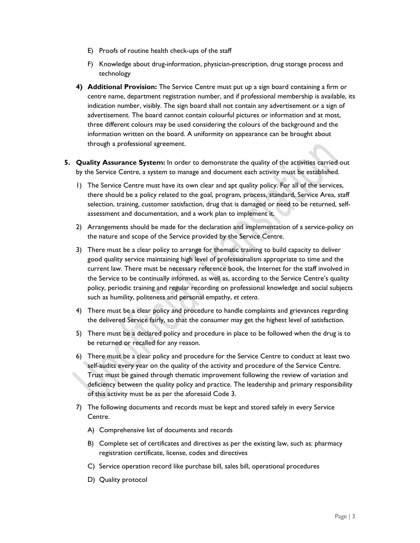- E) Proofs of routine health check-ups of the staff
- F) Knowledge about drug-information, physician-prescription, drug storage process and technology
- **4) Additional Provision:** The Service Centre must put up a sign board containing a firm or centre name, department registration number, and if professional membership is available, its indication number, visibly. The sign board shall not contain any advertisement or a sign of advertisement. The board cannot contain colourful pictures or information and at most, three different colours may be used considering the colours of the background and the information written on the board. A uniformity on appearance can be brought about through a professional agreement.
- **5. Quality Assurance System:** In order to demonstrate the quality of the activities carried out by the Service Centre, a system to manage and document each activity must be established.
	- 1) The Service Centre must have its own clear and apt quality policy. For all of the services, there should be a policy related to the goal, program, process, standard, Service Area, staff selection, training, customer satisfaction, drug that is damaged or need to be returned, selfassessment and documentation, and a work plan to implement it.
	- 2) Arrangements should be made for the declaration and implementation of a service-policy on the nature and scope of the Service provided by the Service Centre.
	- 3) There must be a clear policy to arrange for thematic training to build capacity to deliver good quality service maintaining high level of professionalism appropriate to time and the current law. There must be necessary reference book, the Internet for the staff involved in the Service to be continually informed, as well as, according to the Service Centre's quality policy, periodic training and regular recording on professional knowledge and social subjects such as humility, politeness and personal empathy, *et cetera*.
	- 4) There must be a clear policy and procedure to handle complaints and grievances regarding the delivered Service fairly, so that the consumer may get the highest level of satisfaction.
	- 5) There must be a declared policy and procedure in place to be followed when the drug is to be returned or recalled for any reason.
	- 6) There must be a clear policy and procedure for the Service Centre to conduct at least two self-audits every year on the quality of the activity and procedure of the Service Centre. Trust must be gained through thematic improvement following the review of variation and deficiency between the quality policy and practice. The leadership and primary responsibility of this activity must be as per the aforesaid Code 3.
	- 7) The following documents and records must be kept and stored safely in every Service Centre.
		- A) Comprehensive list of documents and records
		- B) Complete set of certificates and directives as per the existing law, such as: pharmacy registration certificate, license, codes and directives
		- C) Service operation record like purchase bill, sales bill, operational procedures
		- D) Quality protocol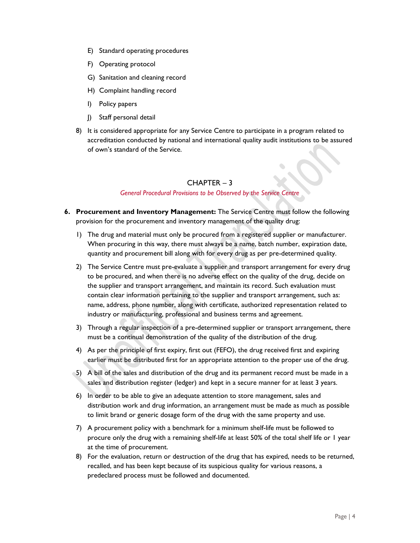- E) Standard operating procedures
- F) Operating protocol
- G) Sanitation and cleaning record
- H) Complaint handling record
- I) Policy papers
- J) Staff personal detail
- 8) It is considered appropriate for any Service Centre to participate in a program related to accreditation conducted by national and international quality audit institutions to be assured of own's standard of the Service.

#### CHAPTER – 3

#### *General Procedural Provisions to be Observed by the Service Centre*

- **6. Procurement and Inventory Management:** The Service Centre must follow the following provision for the procurement and inventory management of the quality drug:
	- 1) The drug and material must only be procured from a registered supplier or manufacturer. When procuring in this way, there must always be a name, batch number, expiration date, quantity and procurement bill along with for every drug as per pre-determined quality.
	- 2) The Service Centre must pre-evaluate a supplier and transport arrangement for every drug to be procured, and when there is no adverse effect on the quality of the drug, decide on the supplier and transport arrangement, and maintain its record. Such evaluation must contain clear information pertaining to the supplier and transport arrangement, such as: name, address, phone number, along with certificate, authorized representation related to industry or manufacturing, professional and business terms and agreement.
	- 3) Through a regular inspection of a pre-determined supplier or transport arrangement, there must be a continual demonstration of the quality of the distribution of the drug.
	- 4) As per the principle of first expiry, first out (FEFO), the drug received first and expiring earlier must be distributed first for an appropriate attention to the proper use of the drug.
	- 5) A bill of the sales and distribution of the drug and its permanent record must be made in a sales and distribution register (ledger) and kept in a secure manner for at least 3 years.
	- 6) In order to be able to give an adequate attention to store management, sales and distribution work and drug information, an arrangement must be made as much as possible to limit brand or generic dosage form of the drug with the same property and use.
	- 7) A procurement policy with a benchmark for a minimum shelf-life must be followed to procure only the drug with a remaining shelf-life at least 50% of the total shelf life or 1 year at the time of procurement.
	- 8) For the evaluation, return or destruction of the drug that has expired, needs to be returned, recalled, and has been kept because of its suspicious quality for various reasons, a predeclared process must be followed and documented.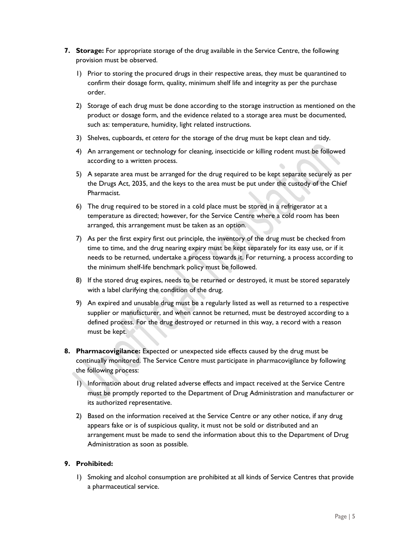- **7. Storage:** For appropriate storage of the drug available in the Service Centre, the following provision must be observed.
	- 1) Prior to storing the procured drugs in their respective areas, they must be quarantined to confirm their dosage form, quality, minimum shelf life and integrity as per the purchase order.
	- 2) Storage of each drug must be done according to the storage instruction as mentioned on the product or dosage form, and the evidence related to a storage area must be documented, such as: temperature, humidity, light related instructions.
	- 3) Shelves, cupboards, *et cetera* for the storage of the drug must be kept clean and tidy.
	- 4) An arrangement or technology for cleaning, insecticide or killing rodent must be followed according to a written process.
	- 5) A separate area must be arranged for the drug required to be kept separate securely as per the Drugs Act, 2035, and the keys to the area must be put under the custody of the Chief Pharmacist.
	- 6) The drug required to be stored in a cold place must be stored in a refrigerator at a temperature as directed; however, for the Service Centre where a cold room has been arranged, this arrangement must be taken as an option.
	- 7) As per the first expiry first out principle, the inventory of the drug must be checked from time to time, and the drug nearing expiry must be kept separately for its easy use, or if it needs to be returned, undertake a process towards it. For returning, a process according to the minimum shelf-life benchmark policy must be followed.
	- 8) If the stored drug expires, needs to be returned or destroyed, it must be stored separately with a label clarifying the condition of the drug.
	- 9) An expired and unusable drug must be a regularly listed as well as returned to a respective supplier or manufacturer, and when cannot be returned, must be destroyed according to a defined process. For the drug destroyed or returned in this way, a record with a reason must be kept.
- **8. Pharmacovigilance:** Expected or unexpected side effects caused by the drug must be continually monitored. The Service Centre must participate in pharmacovigilance by following the following process:
	- 1) Information about drug related adverse effects and impact received at the Service Centre must be promptly reported to the Department of Drug Administration and manufacturer or its authorized representative.
	- 2) Based on the information received at the Service Centre or any other notice, if any drug appears fake or is of suspicious quality, it must not be sold or distributed and an arrangement must be made to send the information about this to the Department of Drug Administration as soon as possible.

#### **9. Prohibited:**

1) Smoking and alcohol consumption are prohibited at all kinds of Service Centres that provide a pharmaceutical service.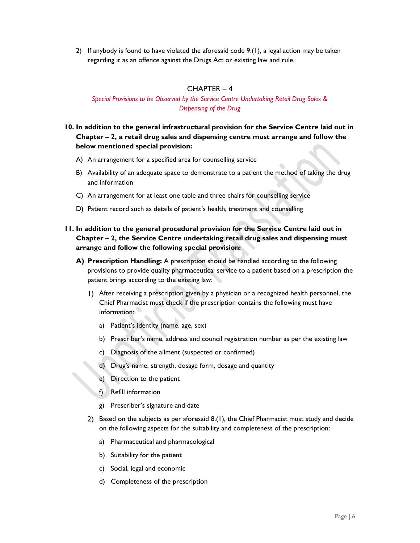2) If anybody is found to have violated the aforesaid code 9.(1), a legal action may be taken regarding it as an offence against the Drugs Act or existing law and rule.

#### CHAPTER – 4

#### *Special Provisions to be Observed by the Service Centre Undertaking Retail Drug Sales & Dispensing of the Drug*

## **10. In addition to the general infrastructural provision for the Service Centre laid out in Chapter – 2, a retail drug sales and dispensing centre must arrange and follow the below mentioned special provision:**

- A) An arrangement for a specified area for counselling service
- B) Availability of an adequate space to demonstrate to a patient the method of taking the drug and information
- C) An arrangement for at least one table and three chairs for counselling service
- D) Patient record such as details of patient's health, treatment and counselling
- **11. In addition to the general procedural provision for the Service Centre laid out in Chapter – 2, the Service Centre undertaking retail drug sales and dispensing must arrange and follow the following special provision:** 
	- **A) Prescription Handling:** A prescription should be handled according to the following provisions to provide quality pharmaceutical service to a patient based on a prescription the patient brings according to the existing law:
		- After receiving a prescription given by a physician or a recognized health personnel, the Chief Pharmacist must check if the prescription contains the following must have information:
			- a) Patient's identity (name, age, sex)
			- b) Prescriber's name, address and council registration number as per the existing law
			- c) Diagnosis of the ailment (suspected or confirmed)
			- d) Drug's name, strength, dosage form, dosage and quantity
			- e) Direction to the patient
			- f) Refill information
			- g) Prescriber's signature and date
		- 2) Based on the subjects as per aforesaid 8.(1), the Chief Pharmacist must study and decide on the following aspects for the suitability and completeness of the prescription:
			- a) Pharmaceutical and pharmacological
			- b) Suitability for the patient
			- c) Social, legal and economic
			- d) Completeness of the prescription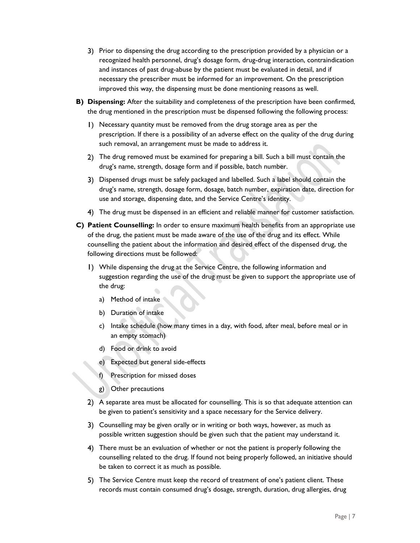- Prior to dispensing the drug according to the prescription provided by a physician or a recognized health personnel, drug's dosage form, drug-drug interaction, contraindication and instances of past drug-abuse by the patient must be evaluated in detail, and if necessary the prescriber must be informed for an improvement. On the prescription improved this way, the dispensing must be done mentioning reasons as well.
- **B) Dispensing:** After the suitability and completeness of the prescription have been confirmed, the drug mentioned in the prescription must be dispensed following the following process:
	- Necessary quantity must be removed from the drug storage area as per the prescription. If there is a possibility of an adverse effect on the quality of the drug during such removal, an arrangement must be made to address it.
	- The drug removed must be examined for preparing a bill. Such a bill must contain the drug's name, strength, dosage form and if possible, batch number.
	- Dispensed drugs must be safely packaged and labelled. Such a label should contain the drug's name, strength, dosage form, dosage, batch number, expiration date, direction for use and storage, dispensing date, and the Service Centre's identity.
	- The drug must be dispensed in an efficient and reliable manner for customer satisfaction.
- **C) Patient Counselling:** In order to ensure maximum health benefits from an appropriate use of the drug, the patient must be made aware of the use of the drug and its effect. While counselling the patient about the information and desired effect of the dispensed drug, the following directions must be followed:
	- While dispensing the drug at the Service Centre, the following information and suggestion regarding the use of the drug must be given to support the appropriate use of the drug:
		- a) Method of intake
		- b) Duration of intake
		- c) Intake schedule (how many times in a day, with food, after meal, before meal or in an empty stomach)
		- d) Food or drink to avoid
		- e) Expected but general side-effects
		- f) Prescription for missed doses
		- g) Other precautions
	- A separate area must be allocated for counselling. This is so that adequate attention can be given to patient's sensitivity and a space necessary for the Service delivery.
	- Counselling may be given orally or in writing or both ways, however, as much as possible written suggestion should be given such that the patient may understand it.
	- There must be an evaluation of whether or not the patient is properly following the counselling related to the drug. If found not being properly followed, an initiative should be taken to correct it as much as possible.
	- The Service Centre must keep the record of treatment of one's patient client. These records must contain consumed drug's dosage, strength, duration, drug allergies, drug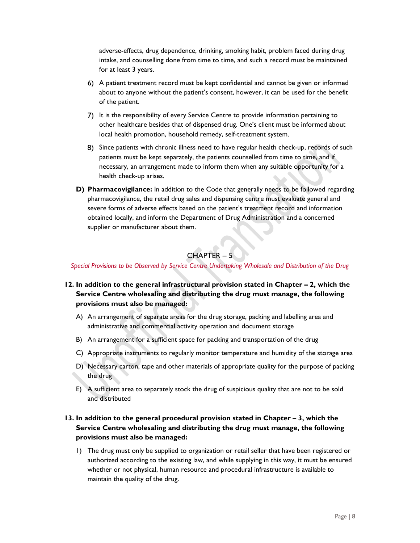adverse-effects, drug dependence, drinking, smoking habit, problem faced during drug intake, and counselling done from time to time, and such a record must be maintained for at least 3 years.

- A patient treatment record must be kept confidential and cannot be given or informed about to anyone without the patient's consent, however, it can be used for the benefit of the patient.
- 7) It is the responsibility of every Service Centre to provide information pertaining to other healthcare besides that of dispensed drug. One's client must be informed about local health promotion, household remedy, self-treatment system.
- Since patients with chronic illness need to have regular health check-up, records of such patients must be kept separately, the patients counselled from time to time, and if necessary, an arrangement made to inform them when any suitable opportunity for a health check-up arises.
- **D) Pharmacovigilance:** In addition to the Code that generally needs to be followed regarding pharmacovigilance, the retail drug sales and dispensing centre must evaluate general and severe forms of adverse effects based on the patient's treatment record and information obtained locally, and inform the Department of Drug Administration and a concerned supplier or manufacturer about them.

# CHAPTER – 5

*Special Provisions to be Observed by Service Centre Undertaking Wholesale and Distribution of the Drug* 

- **12. In addition to the general infrastructural provision stated in Chapter 2, which the Service Centre wholesaling and distributing the drug must manage, the following provisions must also be managed:** 
	- A) An arrangement of separate areas for the drug storage, packing and labelling area and administrative and commercial activity operation and document storage
	- B) An arrangement for a sufficient space for packing and transportation of the drug
	- C) Appropriate instruments to regularly monitor temperature and humidity of the storage area
	- D) Necessary carton, tape and other materials of appropriate quality for the purpose of packing the drug
	- E) A sufficient area to separately stock the drug of suspicious quality that are not to be sold and distributed

## **13. In addition to the general procedural provision stated in Chapter – 3, which the Service Centre wholesaling and distributing the drug must manage, the following provisions must also be managed:**

1) The drug must only be supplied to organization or retail seller that have been registered or authorized according to the existing law, and while supplying in this way, it must be ensured whether or not physical, human resource and procedural infrastructure is available to maintain the quality of the drug.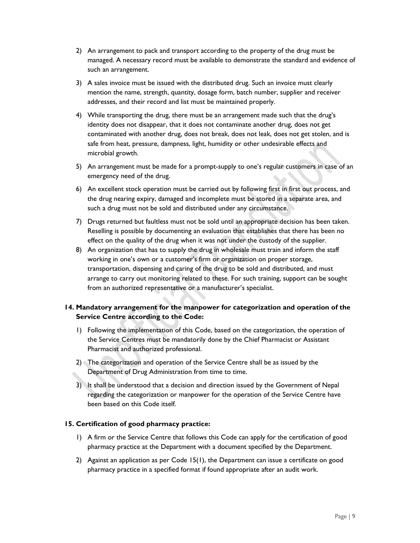- 2) An arrangement to pack and transport according to the property of the drug must be managed. A necessary record must be available to demonstrate the standard and evidence of such an arrangement.
- 3) A sales invoice must be issued with the distributed drug. Such an invoice must clearly mention the name, strength, quantity, dosage form, batch number, supplier and receiver addresses, and their record and list must be maintained properly.
- 4) While transporting the drug, there must be an arrangement made such that the drug's identity does not disappear, that it does not contaminate another drug, does not get contaminated with another drug, does not break, does not leak, does not get stolen, and is safe from heat, pressure, dampness, light, humidity or other undesirable effects and microbial growth.
- 5) An arrangement must be made for a prompt-supply to one's regular customers in case of an emergency need of the drug.
- 6) An excellent stock operation must be carried out by following first in first out process, and the drug nearing expiry, damaged and incomplete must be stored in a separate area, and such a drug must not be sold and distributed under any circumstance.
- 7) Drugs returned but faultless must not be sold until an appropriate decision has been taken. Reselling is possible by documenting an evaluation that establishes that there has been no effect on the quality of the drug when it was not under the custody of the supplier.
- 8) An organization that has to supply the drug in wholesale must train and inform the staff working in one's own or a customer's firm or organization on proper storage, transportation, dispensing and caring of the drug to be sold and distributed, and must arrange to carry out monitoring related to these. For such training, support can be sought from an authorized representative or a manufacturer's specialist.

## **14. Mandatory arrangement for the manpower for categorization and operation of the Service Centre according to the Code:**

- 1) Following the implementation of this Code, based on the categorization, the operation of the Service Centres must be mandatorily done by the Chief Pharmacist or Assistant Pharmacist and authorized professional.
- 2) The categorization and operation of the Service Centre shall be as issued by the Department of Drug Administration from time to time.
- 3) It shall be understood that a decision and direction issued by the Government of Nepal regarding the categorization or manpower for the operation of the Service Centre have been based on this Code itself.

#### **15. Certification of good pharmacy practice:**

- 1) A firm or the Service Centre that follows this Code can apply for the certification of good pharmacy practice at the Department with a document specified by the Department.
- 2) Against an application as per Code 15(1), the Department can issue a certificate on good pharmacy practice in a specified format if found appropriate after an audit work.